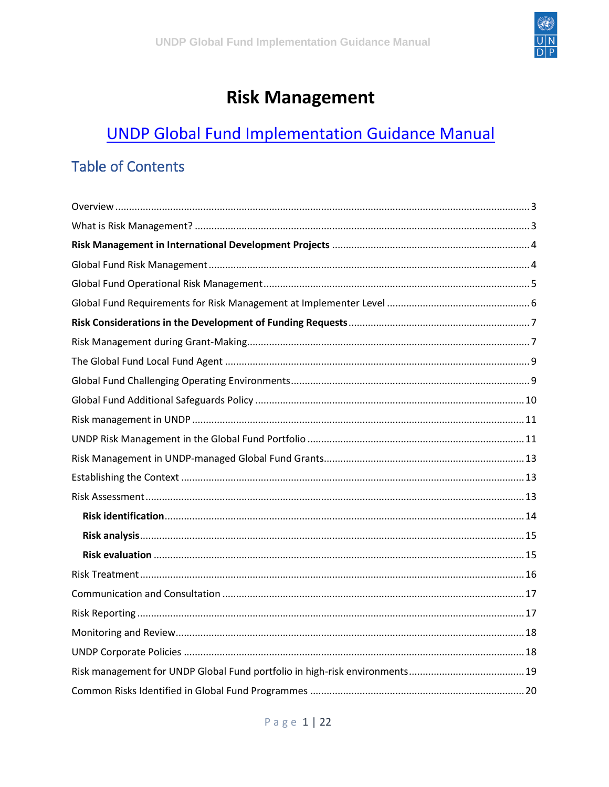

# **Risk Management**

# **UNDP Global Fund Implementation Guidance Manual**

#### **Table of Contents**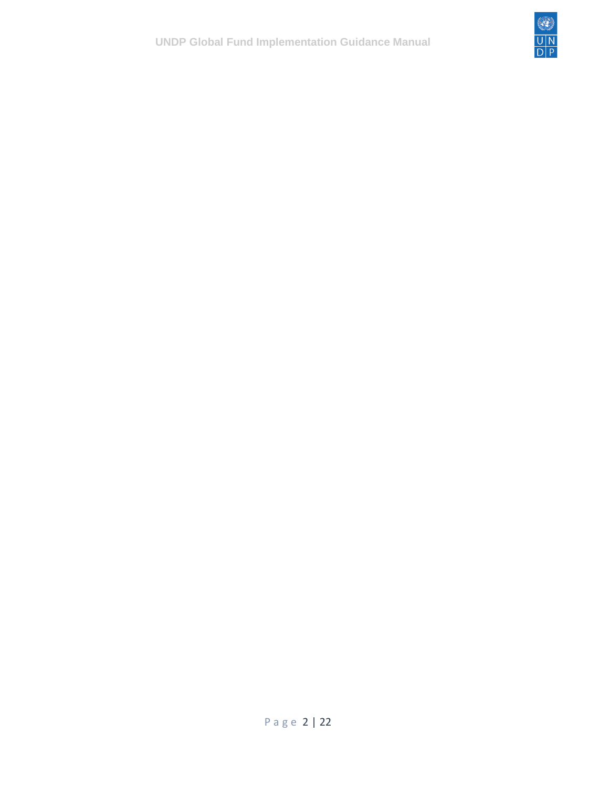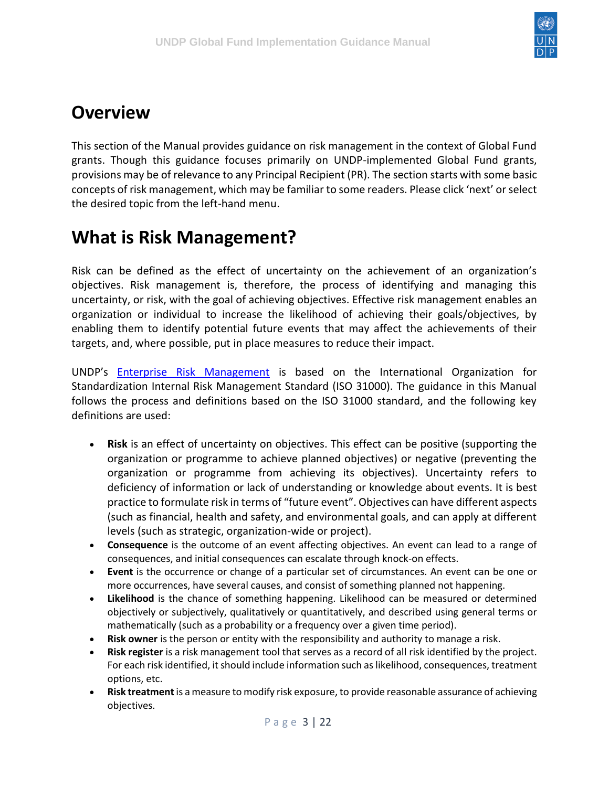

### <span id="page-2-0"></span>**Overview**

This section of the Manual provides guidance on risk management in the context of Global Fund grants. Though this guidance focuses primarily on UNDP-implemented Global Fund grants, provisions may be of relevance to any Principal Recipient (PR). The section starts with some basic concepts of risk management, which may be familiar to some readers. Please click 'next' or select the desired topic from the left-hand menu.

### <span id="page-2-1"></span>**What is Risk Management?**

Risk can be defined as the effect of uncertainty on the achievement of an organization's objectives. Risk management is, therefore, the process of identifying and managing this uncertainty, or risk, with the goal of achieving objectives. Effective risk management enables an organization or individual to increase the likelihood of achieving their goals/objectives, by enabling them to identify potential future events that may affect the achievements of their targets, and, where possible, put in place measures to reduce their impact.

UNDP's [Enterprise Risk Management](https://popp.undp.org/UNDP_POPP_DOCUMENT_LIBRARY/Public/AC_Accountability_Enterprise%20Risk%20Management%20Policy%20(2016).pdf) is based on the International Organization for Standardization Internal Risk Management Standard (ISO 31000). The guidance in this Manual follows the process and definitions based on the ISO 31000 standard, and the following key definitions are used:

- **Risk** is an effect of uncertainty on objectives. This effect can be positive (supporting the organization or programme to achieve planned objectives) or negative (preventing the organization or programme from achieving its objectives). Uncertainty refers to deficiency of information or lack of understanding or knowledge about events. It is best practice to formulate risk in terms of "future event". Objectives can have different aspects (such as financial, health and safety, and environmental goals, and can apply at different levels (such as strategic, organization-wide or project).
- **Consequence** is the outcome of an event affecting objectives. An event can lead to a range of consequences, and initial consequences can escalate through knock-on effects.
- **Event** is the occurrence or change of a particular set of circumstances. An event can be one or more occurrences, have several causes, and consist of something planned not happening.
- **Likelihood** is the chance of something happening. Likelihood can be measured or determined objectively or subjectively, qualitatively or quantitatively, and described using general terms or mathematically (such as a probability or a frequency over a given time period).
- **Risk owner** is the person or entity with the responsibility and authority to manage a risk.
- **Risk register** is a risk management tool that serves as a record of all risk identified by the project. For each risk identified, it should include information such as likelihood, consequences, treatment options, etc.
- **Risk treatment** is a measure to modify risk exposure, to provide reasonable assurance of achieving objectives.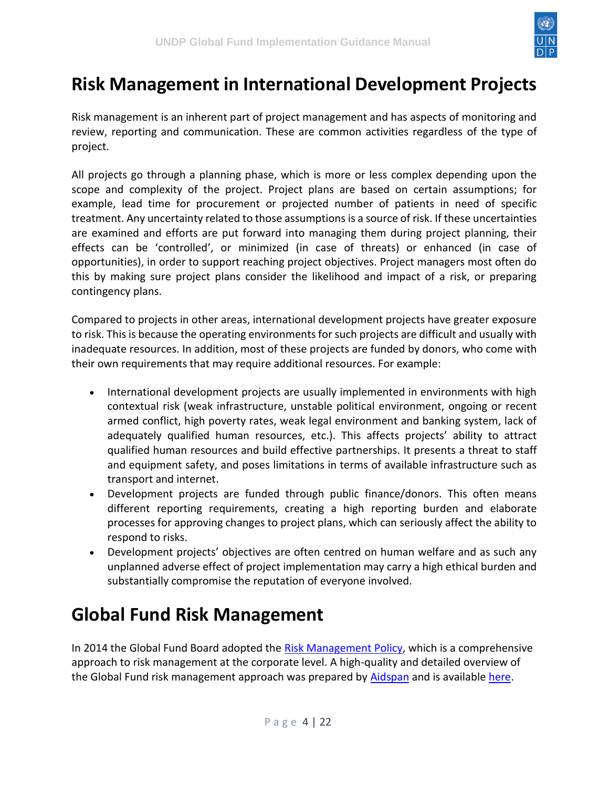

## <span id="page-3-0"></span>**Risk Management in International Development Projects**

Risk management is an inherent part of project management and has aspects of monitoring and review, reporting and communication. These are common activities regardless of the type of project.

All projects go through a planning phase, which is more or less complex depending upon the scope and complexity of the project. Project plans are based on certain assumptions; for example, lead time for procurement or projected number of patients in need of specific treatment. Any uncertainty related to those assumptions is a source of risk. If these uncertainties are examined and efforts are put forward into managing them during project planning, their effects can be 'controlled', or minimized (in case of threats) or enhanced (in case of opportunities), in order to support reaching project objectives. Project managers most often do this by making sure project plans consider the likelihood and impact of a risk, or preparing contingency plans.

Compared to projects in other areas, international development projects have greater exposure to risk. This is because the operating environments for such projects are difficult and usually with inadequate resources. In addition, most of these projects are funded by donors, who come with their own requirements that may require additional resources. For example:

- International development projects are usually implemented in environments with high contextual risk (weak infrastructure, unstable political environment, ongoing or recent armed conflict, high poverty rates, weak legal environment and banking system, lack of adequately qualified human resources, etc.). This affects projects' ability to attract qualified human resources and build effective partnerships. It presents a threat to staff and equipment safety, and poses limitations in terms of available infrastructure such as transport and internet.
- Development projects are funded through public finance/donors. This often means different reporting requirements, creating a high reporting burden and elaborate processes for approving changes to project plans, which can seriously affect the ability to respond to risks.
- Development projects' objectives are often centred on human welfare and as such any unplanned adverse effect of project implementation may carry a high ethical burden and substantially compromise the reputation of everyone involved.

# <span id="page-3-1"></span>**Global Fund Risk Management**

In 2014 the Global Fund Board adopted the [Risk Management Policy,](https://www.theglobalfund.org/media/6018/core_riskmanagement_policy_en.pdf) which is a comprehensive approach to risk management at the corporate level. A high-quality and detailed overview of the Global Fund risk management approach was prepared by [Aidspan](http://www.aidspan.org/) and is available [here.](http://www.aidspan.org/node/2956)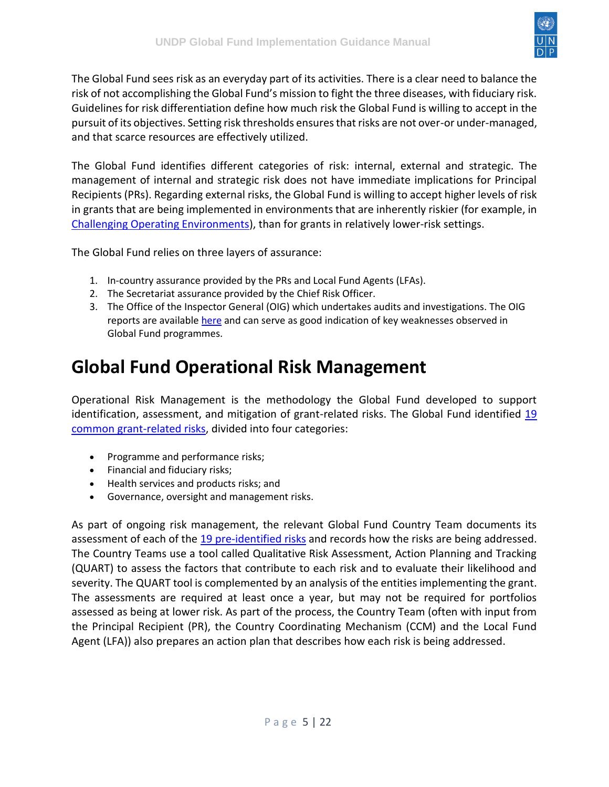

The Global Fund sees risk as an everyday part of its activities. There is a clear need to balance the risk of not accomplishing the Global Fund's mission to fight the three diseases, with fiduciary risk. Guidelines for risk differentiation define how much risk the Global Fund is willing to accept in the pursuit of its objectives. Setting risk thresholds ensures that risks are not over-or under-managed, and that scarce resources are effectively utilized.

The Global Fund identifies different categories of risk: internal, external and strategic. The management of internal and strategic risk does not have immediate implications for Principal Recipients (PRs). Regarding external risks, the Global Fund is willing to accept higher levels of risk in grants that are being implemented in environments that are inherently riskier (for example, in [Challenging Operating Environments\)](https://www.theglobalfund.org/media/4220/bm35_03-challengingoperatingenvironments_policy_en.pdf), than for grants in relatively lower-risk settings.

The Global Fund relies on three layers of assurance:

- 1. In-country assurance provided by the PRs and Local Fund Agents (LFAs).
- 2. The Secretariat assurance provided by the Chief Risk Officer.
- 3. The Office of the Inspector General (OIG) which undertakes audits and investigations. The OIG reports are availabl[e here](http://www.theglobalfund.org/en/oig/reports) and can serve as good indication of key weaknesses observed in Global Fund programmes.

### <span id="page-4-0"></span>**Global Fund Operational Risk Management**

Operational Risk Management is the methodology the Global Fund developed to support identification, assessment, and mitigation of grant-related risks. The Global Fund identified 19 [common grant-related risks,](https://www.theglobalfund.org/media/6018/core_riskmanagement_policy_en.pdf) divided into four categories:

- Programme and performance risks;
- Financial and fiduciary risks;
- Health services and products risks; and
- Governance, oversight and management risks.

As part of ongoing risk management, the relevant Global Fund Country Team documents its assessment of each of the [19 pre-identified risks](https://www.theglobalfund.org/media/6018/core_riskmanagement_policy_en.pdf) and records how the risks are being addressed. The Country Teams use a tool called Qualitative Risk Assessment, Action Planning and Tracking (QUART) to assess the factors that contribute to each risk and to evaluate their likelihood and severity. The QUART tool is complemented by an analysis of the entities implementing the grant. The assessments are required at least once a year, but may not be required for portfolios assessed as being at lower risk. As part of the process, the Country Team (often with input from the Principal Recipient (PR), the Country Coordinating Mechanism (CCM) and the Local Fund Agent (LFA)) also prepares an action plan that describes how each risk is being addressed.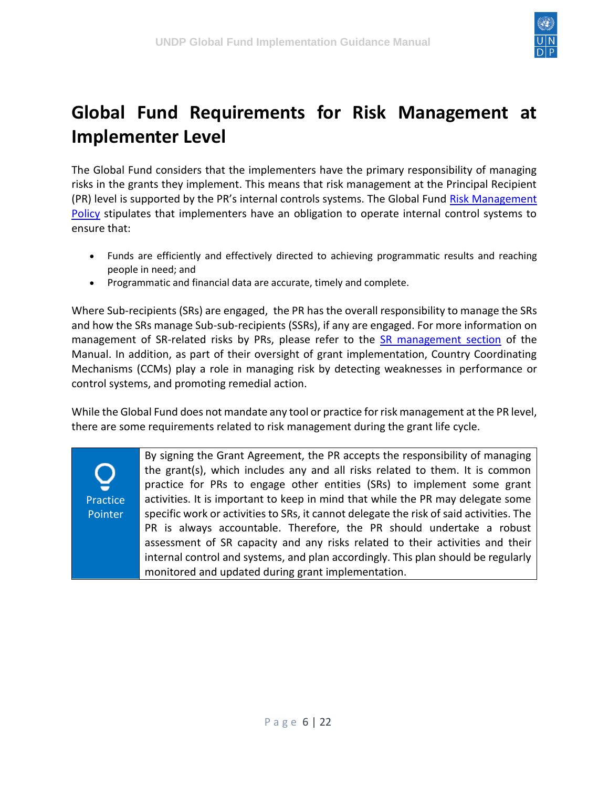

# <span id="page-5-0"></span>**Global Fund Requirements for Risk Management at Implementer Level**

The Global Fund considers that the implementers have the primary responsibility of managing risks in the grants they implement. This means that risk management at the Principal Recipient (PR) level is supported by the PR's internal controls systems. The Global Fund [Risk Management](https://www.theglobalfund.org/media/6018/core_riskmanagement_policy_en.pdf)  [Policy](https://www.theglobalfund.org/media/6018/core_riskmanagement_policy_en.pdf) stipulates that implementers have an obligation to operate internal control systems to ensure that:

- Funds are efficiently and effectively directed to achieving programmatic results and reaching people in need; and
- Programmatic and financial data are accurate, timely and complete.

Where Sub-recipients (SRs) are engaged, the PR has the overall responsibility to manage the SRs and how the SRs manage Sub-sub-recipients (SSRs), if any are engaged. For more information on management of SR-related risks by PRs, please refer to the **SR** management section of the Manual. In addition, as part of their oversight of grant implementation, Country Coordinating Mechanisms (CCMs) play a role in managing risk by detecting weaknesses in performance or control systems, and promoting remedial action.

While the Global Fund does not mandate any tool or practice for risk management at the PR level, there are some requirements related to risk management during the grant life cycle.

**Practice** Pointer By signing the Grant Agreement, the PR accepts the responsibility of managing the grant(s), which includes any and all risks related to them. It is common practice for PRs to engage other entities (SRs) to implement some grant activities. It is important to keep in mind that while the PR may delegate some specific work or activities to SRs, it cannot delegate the risk of said activities. The PR is always accountable. Therefore, the PR should undertake a robust assessment of SR capacity and any risks related to their activities and their internal control and systems, and plan accordingly. This plan should be regularly monitored and updated during grant implementation.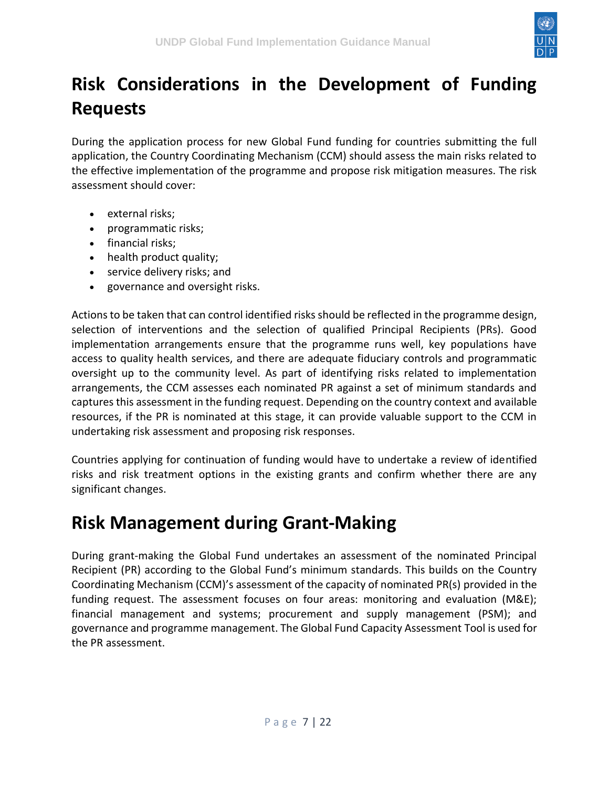

# <span id="page-6-0"></span>**Risk Considerations in the Development of Funding Requests**

During the application process for new Global Fund funding for countries submitting the full application, the Country Coordinating Mechanism (CCM) should assess the main risks related to the effective implementation of the programme and propose risk mitigation measures. The risk assessment should cover:

- external risks;
- programmatic risks;
- financial risks;
- health product quality;
- service delivery risks; and
- governance and oversight risks.

Actions to be taken that can control identified risks should be reflected in the programme design, selection of interventions and the selection of qualified Principal Recipients (PRs). Good implementation arrangements ensure that the programme runs well, key populations have access to quality health services, and there are adequate fiduciary controls and programmatic oversight up to the community level. As part of identifying risks related to implementation arrangements, the CCM assesses each nominated PR against a set of minimum standards and captures this assessment in the funding request. Depending on the country context and available resources, if the PR is nominated at this stage, it can provide valuable support to the CCM in undertaking risk assessment and proposing risk responses.

Countries applying for continuation of funding would have to undertake a review of identified risks and risk treatment options in the existing grants and confirm whether there are any significant changes.

#### <span id="page-6-1"></span>**Risk Management during Grant-Making**

During grant-making the Global Fund undertakes an assessment of the nominated Principal Recipient (PR) according to the Global Fund's minimum standards. This builds on the Country Coordinating Mechanism (CCM)'s assessment of the capacity of nominated PR(s) provided in the funding request. The assessment focuses on four areas: monitoring and evaluation (M&E); financial management and systems; procurement and supply management (PSM); and governance and programme management. The Global Fund Capacity Assessment Tool is used for the PR assessment.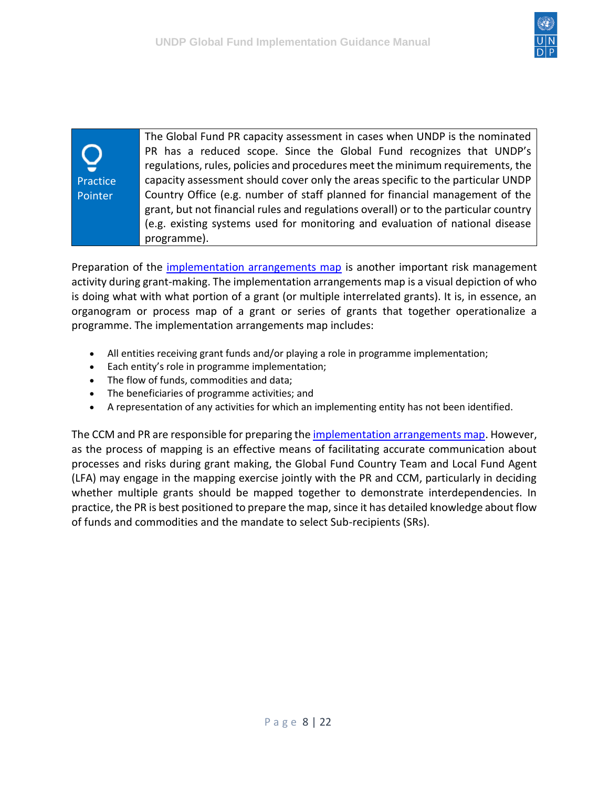

Practice Pointer

The Global Fund PR capacity assessment in cases when UNDP is the nominated PR has a reduced scope. Since the Global Fund recognizes that UNDP's regulations, rules, policies and procedures meet the minimum requirements, the capacity assessment should cover only the areas specific to the particular UNDP Country Office (e.g. number of staff planned for financial management of the grant, but not financial rules and regulations overall) or to the particular country (e.g. existing systems used for monitoring and evaluation of national disease programme).

Preparation of the *implementation arrangements map* is another important risk management activity during grant-making. The implementation arrangements map is a visual depiction of who is doing what with what portion of a grant (or multiple interrelated grants). It is, in essence, an organogram or process map of a grant or series of grants that together operationalize a programme. The implementation arrangements map includes:

- All entities receiving grant funds and/or playing a role in programme implementation;
- Each entity's role in programme implementation;
- The flow of funds, commodities and data;
- The beneficiaries of programme activities; and
- A representation of any activities for which an implementing entity has not been identified.

The CCM and PR are responsible for preparing the [implementation arrangements map.](https://www.theglobalfund.org/media/5678/fundingmodel_implementationmapping_guidelines_en.pdf) However, as the process of mapping is an effective means of facilitating accurate communication about processes and risks during grant making, the Global Fund Country Team and Local Fund Agent (LFA) may engage in the mapping exercise jointly with the PR and CCM, particularly in deciding whether multiple grants should be mapped together to demonstrate interdependencies. In practice, the PR is best positioned to prepare the map, since it has detailed knowledge about flow of funds and commodities and the mandate to select Sub-recipients (SRs).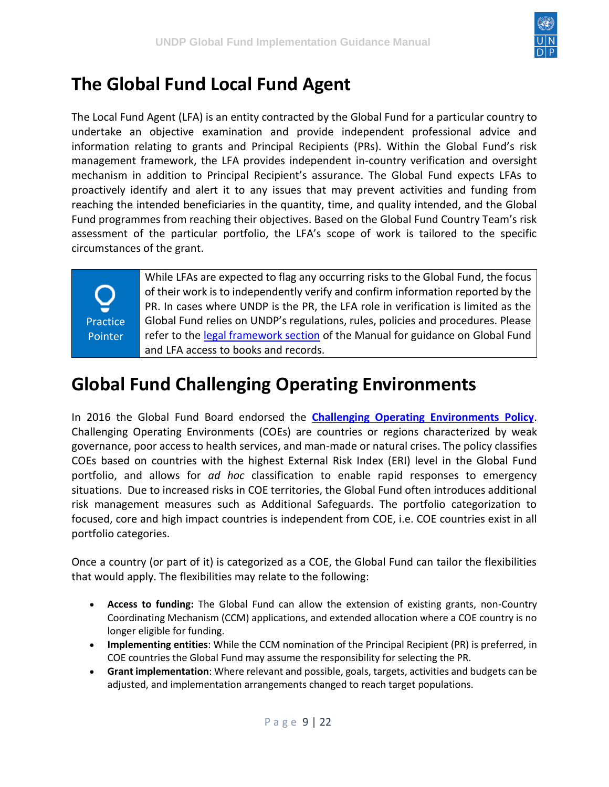

# <span id="page-8-0"></span>**The Global Fund Local Fund Agent**

The Local Fund Agent (LFA) is an entity contracted by the Global Fund for a particular country to undertake an objective examination and provide independent professional advice and information relating to grants and Principal Recipients (PRs). Within the Global Fund's risk management framework, the LFA provides independent in-country verification and oversight mechanism in addition to Principal Recipient's assurance. The Global Fund expects LFAs to proactively identify and alert it to any issues that may prevent activities and funding from reaching the intended beneficiaries in the quantity, time, and quality intended, and the Global Fund programmes from reaching their objectives. Based on the Global Fund Country Team's risk assessment of the particular portfolio, the LFA's scope of work is tailored to the specific circumstances of the grant.



While LFAs are expected to flag any occurring risks to the Global Fund, the focus of their work is to independently verify and confirm information reported by the PR. In cases where UNDP is the PR, the LFA role in verification is limited as the Global Fund relies on UNDP's regulations, rules, policies and procedures. Please refer to the [legal framework section](https://undphealthimplementation.org/functional-areas/legal-framework/other-legal-and-implementation-considerations/intellectual-property-rights-and-disclosure-of-information/) of the Manual for guidance on Global Fund and LFA access to books and records.

# <span id="page-8-1"></span>**Global Fund Challenging Operating Environments**

In 2016 the Global Fund Board endorsed the **[Challenging Operating Environments Policy](https://www.theglobalfund.org/media/4220/bm35_03-challengingoperatingenvironments_policy_en.pdf)**. Challenging Operating Environments (COEs) are countries or regions characterized by weak governance, poor access to health services, and man-made or natural crises. The policy classifies COEs based on countries with the highest External Risk Index (ERI) level in the Global Fund portfolio, and allows for *ad hoc* classification to enable rapid responses to emergency situations. Due to increased risks in COE territories, the Global Fund often introduces additional risk management measures such as Additional Safeguards. The portfolio categorization to focused, core and high impact countries is independent from COE, i.e. COE countries exist in all portfolio categories.

Once a country (or part of it) is categorized as a COE, the Global Fund can tailor the flexibilities that would apply. The flexibilities may relate to the following:

- **Access to funding:** The Global Fund can allow the extension of existing grants, non-Country Coordinating Mechanism (CCM) applications, and extended allocation where a COE country is no longer eligible for funding.
- **Implementing entities**: While the CCM nomination of the Principal Recipient (PR) is preferred, in COE countries the Global Fund may assume the responsibility for selecting the PR.
- **Grant implementation**: Where relevant and possible, goals, targets, activities and budgets can be adjusted, and implementation arrangements changed to reach target populations.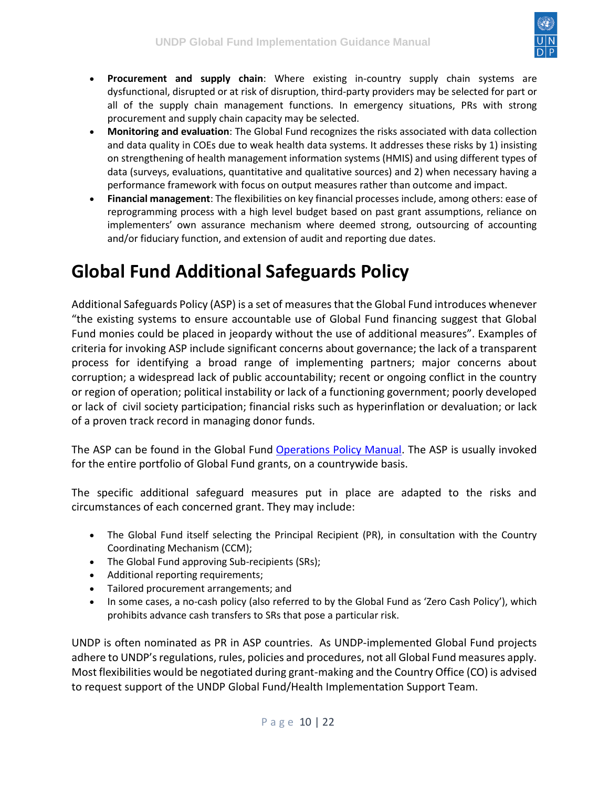

- **Procurement and supply chain**: Where existing in-country supply chain systems are dysfunctional, disrupted or at risk of disruption, third-party providers may be selected for part or all of the supply chain management functions. In emergency situations, PRs with strong procurement and supply chain capacity may be selected.
- **Monitoring and evaluation**: The Global Fund recognizes the risks associated with data collection and data quality in COEs due to weak health data systems. It addresses these risks by 1) insisting on strengthening of health management information systems (HMIS) and using different types of data (surveys, evaluations, quantitative and qualitative sources) and 2) when necessary having a performance framework with focus on output measures rather than outcome and impact.
- **Financial management**: The flexibilities on key financial processes include, among others: ease of reprogramming process with a high level budget based on past grant assumptions, reliance on implementers' own assurance mechanism where deemed strong, outsourcing of accounting and/or fiduciary function, and extension of audit and reporting due dates.

# <span id="page-9-0"></span>**Global Fund Additional Safeguards Policy**

Additional Safeguards Policy (ASP) is a set of measures that the Global Fund introduces whenever "the existing systems to ensure accountable use of Global Fund financing suggest that Global Fund monies could be placed in jeopardy without the use of additional measures". Examples of criteria for invoking ASP include significant concerns about governance; the lack of a transparent process for identifying a broad range of implementing partners; major concerns about corruption; a widespread lack of public accountability; recent or ongoing conflict in the country or region of operation; political instability or lack of a functioning government; poorly developed or lack of civil society participation; financial risks such as hyperinflation or devaluation; or lack of a proven track record in managing donor funds.

The ASP can be found in the Global Fund [Operations Policy Manual.](https://www.theglobalfund.org/media/3266/core_operationalpolicy_manual_en.pdf) The ASP is usually invoked for the entire portfolio of Global Fund grants, on a countrywide basis.

The specific additional safeguard measures put in place are adapted to the risks and circumstances of each concerned grant. They may include:

- The Global Fund itself selecting the Principal Recipient (PR), in consultation with the Country Coordinating Mechanism (CCM);
- The Global Fund approving Sub-recipients (SRs);
- Additional reporting requirements;
- Tailored procurement arrangements; and
- In some cases, a no-cash policy (also referred to by the Global Fund as 'Zero Cash Policy'), which prohibits advance cash transfers to SRs that pose a particular risk.

UNDP is often nominated as PR in ASP countries. As UNDP-implemented Global Fund projects adhere to UNDP's regulations, rules, policies and procedures, not all Global Fund measures apply. Most flexibilities would be negotiated during grant-making and the Country Office (CO) is advised to request support of the UNDP Global Fund/Health Implementation Support Team.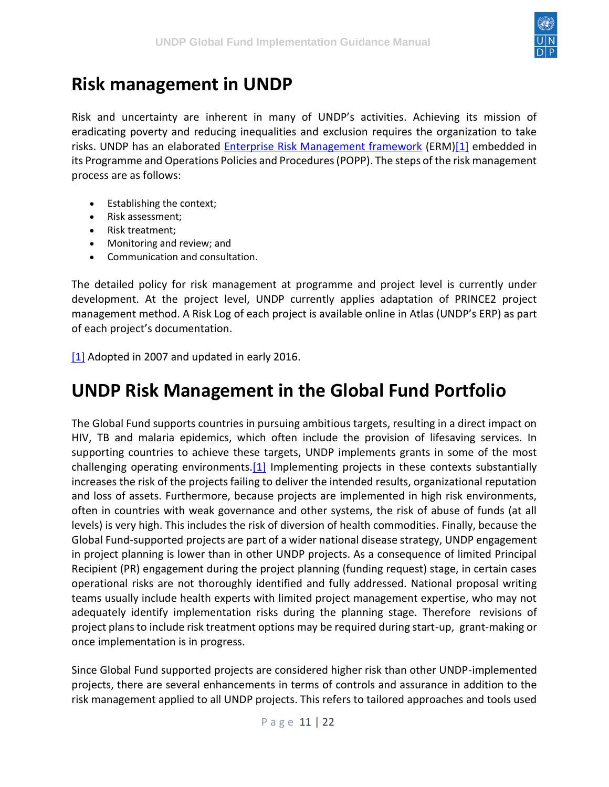

### <span id="page-10-0"></span>**Risk management in UNDP**

Risk and uncertainty are inherent in many of UNDP's activities. Achieving its mission of eradicating poverty and reducing inequalities and exclusion requires the organization to take risks. UNDP has an elaborated [Enterprise Risk Management framework](https://popp.undp.org/UNDP_POPP_DOCUMENT_LIBRARY/Public/AC_Accountability_Enterprise%20Risk%20Management%20Policy%20(2016).pdf) (ERM[\)\[1\]](https://undphealthimplementation.org/functional-areas/risk-management/risk-management-in-undp/#_ftn1) embedded in its Programme and Operations Policies and Procedures (POPP). The steps of the risk management process are as follows:

- Establishing the context;
- Risk assessment;
- Risk treatment;
- Monitoring and review; and
- Communication and consultation.

The detailed policy for risk management at programme and project level is currently under development. At the project level, UNDP currently applies adaptation of PRINCE2 project management method. A Risk Log of each project is available online in Atlas (UNDP's ERP) as part of each project's documentation.

[\[1\]](https://undphealthimplementation.org/functional-areas/risk-management/risk-management-in-undp/#_ftnref1) Adopted in 2007 and updated in early 2016.

### <span id="page-10-1"></span>**UNDP Risk Management in the Global Fund Portfolio**

The Global Fund supports countries in pursuing ambitious targets, resulting in a direct impact on HIV, TB and malaria epidemics, which often include the provision of lifesaving services. In supporting countries to achieve these targets, UNDP implements grants in some of the most challenging operating environments.<sup>[1]</sup> Implementing projects in these contexts substantially increases the risk of the projects failing to deliver the intended results, organizational reputation and loss of assets. Furthermore, because projects are implemented in high risk environments, often in countries with weak governance and other systems, the risk of abuse of funds (at all levels) is very high. This includes the risk of diversion of health commodities. Finally, because the Global Fund-supported projects are part of a wider national disease strategy, UNDP engagement in project planning is lower than in other UNDP projects. As a consequence of limited Principal Recipient (PR) engagement during the project planning (funding request) stage, in certain cases operational risks are not thoroughly identified and fully addressed. National proposal writing teams usually include health experts with limited project management expertise, who may not adequately identify implementation risks during the planning stage. Therefore revisions of project plans to include risk treatment options may be required during start-up, grant-making or once implementation is in progress.

Since Global Fund supported projects are considered higher risk than other UNDP-implemented projects, there are several enhancements in terms of controls and assurance in addition to the risk management applied to all UNDP projects. This refers to tailored approaches and tools used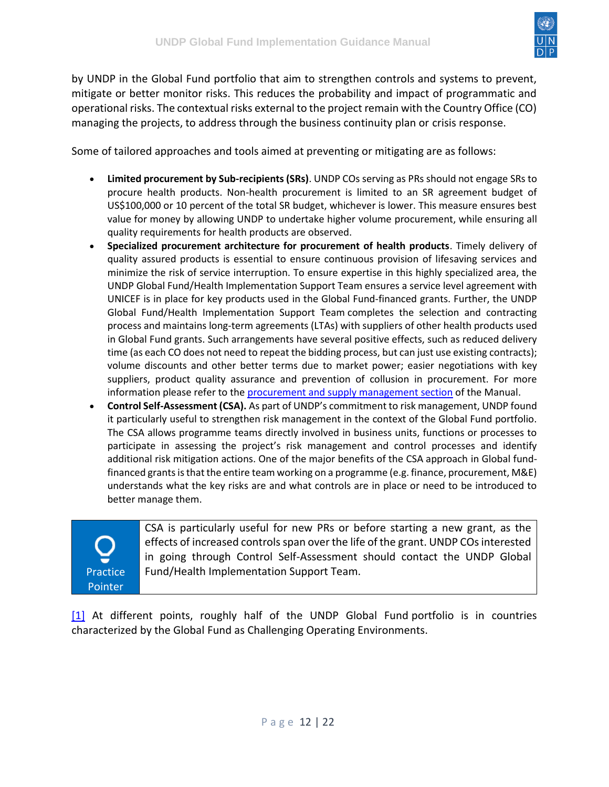

by UNDP in the Global Fund portfolio that aim to strengthen controls and systems to prevent, mitigate or better monitor risks. This reduces the probability and impact of programmatic and operational risks. The contextual risks external to the project remain with the Country Office (CO) managing the projects, to address through the business continuity plan or crisis response.

Some of tailored approaches and tools aimed at preventing or mitigating are as follows:

- **Limited procurement by Sub-recipients (SRs)**. UNDP COs serving as PRs should not engage SRs to procure health products. Non-health procurement is limited to an SR agreement budget of US\$100,000 or 10 percent of the total SR budget, whichever is lower. This measure ensures best value for money by allowing UNDP to undertake higher volume procurement, while ensuring all quality requirements for health products are observed.
- **Specialized procurement architecture for procurement of health products**. Timely delivery of quality assured products is essential to ensure continuous provision of lifesaving services and minimize the risk of service interruption. To ensure expertise in this highly specialized area, the UNDP Global Fund/Health Implementation Support Team ensures a service level agreement with UNICEF is in place for key products used in the Global Fund-financed grants. Further, the UNDP Global Fund/Health Implementation Support Team completes the selection and contracting process and maintains long-term agreements (LTAs) with suppliers of other health products used in Global Fund grants. Such arrangements have several positive effects, such as reduced delivery time (as each CO does not need to repeat the bidding process, but can just use existing contracts); volume discounts and other better terms due to market power; easier negotiations with key suppliers, product quality assurance and prevention of collusion in procurement. For more information please refer to the [procurement and supply management section](https://undphealthimplementation.org/functional-areas/procurement-and-supply-management/overview/) of the Manual.
- **Control Self-Assessment (CSA).** As part of UNDP's commitment to risk management, UNDP found it particularly useful to strengthen risk management in the context of the Global Fund portfolio. The CSA allows programme teams directly involved in business units, functions or processes to participate in assessing the project's risk management and control processes and identify additional risk mitigation actions. One of the major benefits of the CSA approach in Global fundfinanced grants is that the entire team working on a programme (e.g. finance, procurement, M&E) understands what the key risks are and what controls are in place or need to be introduced to better manage them.

# Practice **Pointer**

CSA is particularly useful for new PRs or before starting a new grant, as the effects of increased controls span over the life of the grant. UNDP COs interested in going through Control Self-Assessment should contact the UNDP Global Fund/Health Implementation Support Team.

[\[1\]](https://undphealthimplementation.org/functional-areas/risk-management/undp-risk-management-in-the-global-fund-portfolio/#_ftnref1) At different points, roughly half of the UNDP Global Fund portfolio is in countries characterized by the Global Fund as Challenging Operating Environments.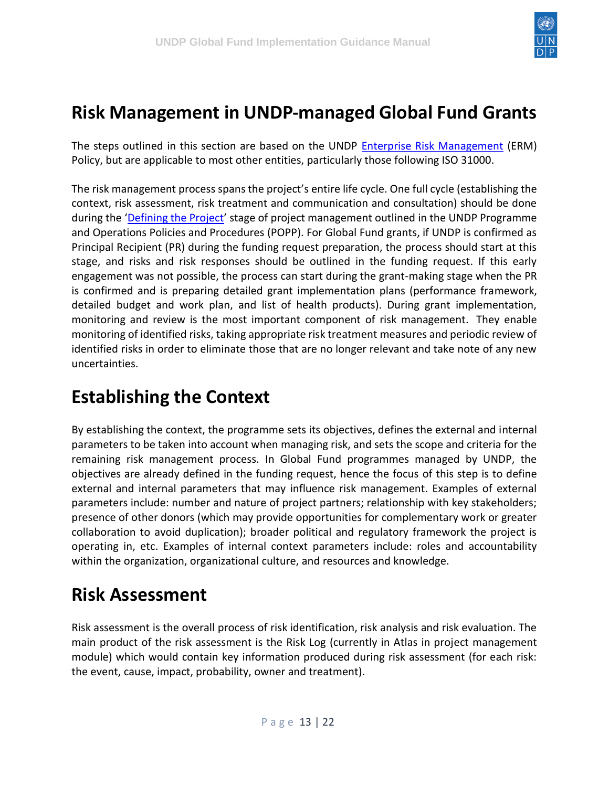

### <span id="page-12-0"></span>**Risk Management in UNDP-managed Global Fund Grants**

The steps outlined in this section are based on the UNDP **Enterprise Risk Management** (ERM) Policy, but are applicable to most other entities, particularly those following ISO 31000.

The risk management process spans the project's entire life cycle. One full cycle (establishing the context, risk assessment, risk treatment and communication and consultation) should be done during the '[Defining the Project](https://popp.undp.org/UNDP_POPP_DOCUMENT_LIBRARY/Public/PPM_Project%20Management_Defining.docx)' stage of project management outlined in the UNDP Programme and Operations Policies and Procedures (POPP). For Global Fund grants, if UNDP is confirmed as Principal Recipient (PR) during the funding request preparation, the process should start at this stage, and risks and risk responses should be outlined in the funding request. If this early engagement was not possible, the process can start during the grant-making stage when the PR is confirmed and is preparing detailed grant implementation plans (performance framework, detailed budget and work plan, and list of health products). During grant implementation, monitoring and review is the most important component of risk management. They enable monitoring of identified risks, taking appropriate risk treatment measures and periodic review of identified risks in order to eliminate those that are no longer relevant and take note of any new uncertainties.

#### <span id="page-12-1"></span>**Establishing the Context**

By establishing the context, the programme sets its objectives, defines the external and internal parameters to be taken into account when managing risk, and sets the scope and criteria for the remaining risk management process. In Global Fund programmes managed by UNDP, the objectives are already defined in the funding request, hence the focus of this step is to define external and internal parameters that may influence risk management. Examples of external parameters include: number and nature of project partners; relationship with key stakeholders; presence of other donors (which may provide opportunities for complementary work or greater collaboration to avoid duplication); broader political and regulatory framework the project is operating in, etc. Examples of internal context parameters include: roles and accountability within the organization, organizational culture, and resources and knowledge.

#### <span id="page-12-2"></span>**Risk Assessment**

Risk assessment is the overall process of risk identification, risk analysis and risk evaluation. The main product of the risk assessment is the Risk Log (currently in Atlas in project management module) which would contain key information produced during risk assessment (for each risk: the event, cause, impact, probability, owner and treatment).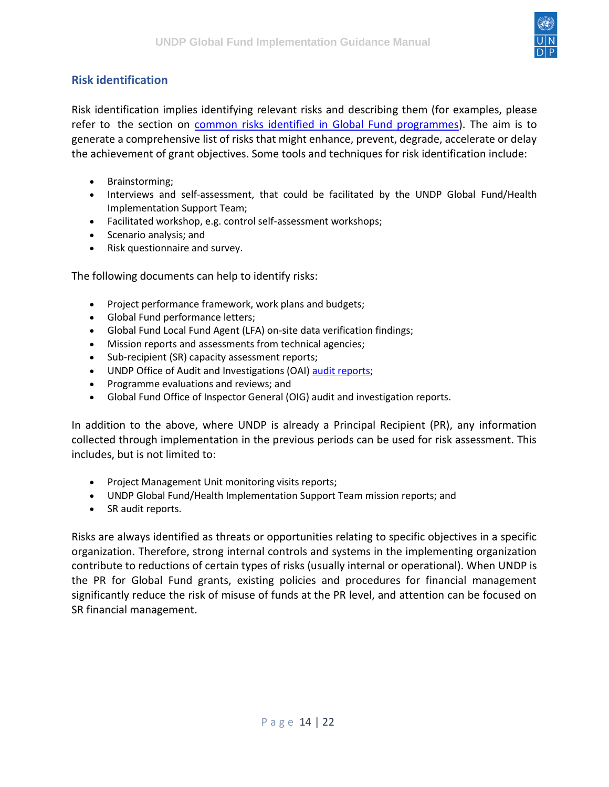

#### <span id="page-13-0"></span>**Risk identification**

Risk identification implies identifying relevant risks and describing them (for examples, please refer to the section on [common risks identified in Global Fund programmes\)](https://undphealthimplementation.org/functional-areas/risk-management/common-risks-identified-in-global-fund-programmes/). The aim is to generate a comprehensive list of risks that might enhance, prevent, degrade, accelerate or delay the achievement of grant objectives. Some tools and techniques for risk identification include:

- Brainstorming;
- Interviews and self-assessment, that could be facilitated by the UNDP Global Fund/Health Implementation Support Team;
- Facilitated workshop, e.g. control self-assessment workshops;
- Scenario analysis; and
- Risk questionnaire and survey.

The following documents can help to identify risks:

- Project performance framework, work plans and budgets;
- Global Fund performance letters;
- Global Fund Local Fund Agent (LFA) on-site data verification findings;
- Mission reports and assessments from technical agencies;
- Sub-recipient (SR) capacity assessment reports;
- UNDP Office of Audit and Investigations (OAI) [audit reports;](http://audit-public-disclosure.undp.org/)
- Programme evaluations and reviews; and
- Global Fund Office of Inspector General (OIG) audit and investigation reports.

In addition to the above, where UNDP is already a Principal Recipient (PR), any information collected through implementation in the previous periods can be used for risk assessment. This includes, but is not limited to:

- Project Management Unit monitoring visits reports;
- UNDP Global Fund/Health Implementation Support Team mission reports; and
- SR audit reports.

Risks are always identified as threats or opportunities relating to specific objectives in a specific organization. Therefore, strong internal controls and systems in the implementing organization contribute to reductions of certain types of risks (usually internal or operational). When UNDP is the PR for Global Fund grants, existing policies and procedures for financial management significantly reduce the risk of misuse of funds at the PR level, and attention can be focused on SR financial management.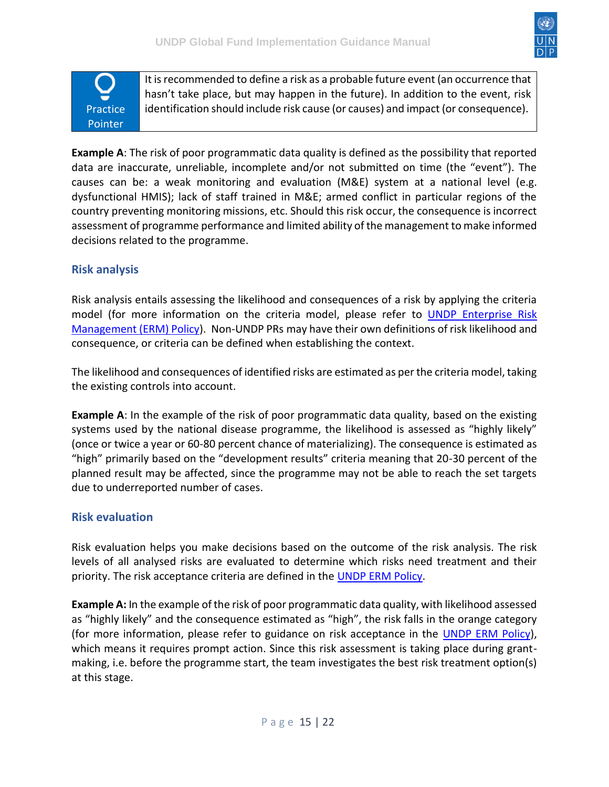

# Practice Pointer

It is recommended to define a risk as a probable future event (an occurrence that hasn't take place, but may happen in the future). In addition to the event, risk identification should include risk cause (or causes) and impact (or consequence).

**Example A**: The risk of poor programmatic data quality is defined as the possibility that reported data are inaccurate, unreliable, incomplete and/or not submitted on time (the "event"). The causes can be: a weak monitoring and evaluation (M&E) system at a national level (e.g. dysfunctional HMIS); lack of staff trained in M&E; armed conflict in particular regions of the country preventing monitoring missions, etc. Should this risk occur, the consequence is incorrect assessment of programme performance and limited ability of the management to make informed decisions related to the programme.

#### <span id="page-14-0"></span>**Risk analysis**

Risk analysis entails assessing the likelihood and consequences of a risk by applying the criteria model (for more information on the criteria model, please refer to [UNDP Enterprise Risk](https://popp.undp.org/UNDP_POPP_DOCUMENT_LIBRARY/Public/AC_Accountability_Enterprise%20Risk%20Management%20Policy%20(2016).pdf)  [Management \(ERM\) Policy\)](https://popp.undp.org/UNDP_POPP_DOCUMENT_LIBRARY/Public/AC_Accountability_Enterprise%20Risk%20Management%20Policy%20(2016).pdf). Non-UNDP PRs may have their own definitions of risk likelihood and consequence, or criteria can be defined when establishing the context.

The likelihood and consequences of identified risks are estimated as per the criteria model, taking the existing controls into account.

**Example A**: In the example of the risk of poor programmatic data quality, based on the existing systems used by the national disease programme, the likelihood is assessed as "highly likely" (once or twice a year or 60-80 percent chance of materializing). The consequence is estimated as "high" primarily based on the "development results" criteria meaning that 20-30 percent of the planned result may be affected, since the programme may not be able to reach the set targets due to underreported number of cases.

#### <span id="page-14-1"></span>**Risk evaluation**

Risk evaluation helps you make decisions based on the outcome of the risk analysis. The risk levels of all analysed risks are evaluated to determine which risks need treatment and their priority. The risk acceptance criteria are defined in the [UNDP ERM Policy.](https://popp.undp.org/UNDP_POPP_DOCUMENT_LIBRARY/Public/AC_Accountability_Enterprise%20Risk%20Management%20Policy%20(2016).pdf)

**Example A:** In the example of the risk of poor programmatic data quality, with likelihood assessed as "highly likely" and the consequence estimated as "high", the risk falls in the orange category (for more information, please refer to guidance on risk acceptance in the [UNDP ERM Policy\)](https://popp.undp.org/UNDP_POPP_DOCUMENT_LIBRARY/Public/AC_Accountability_Enterprise%20Risk%20Management%20Policy%20(2016).pdf), which means it requires prompt action. Since this risk assessment is taking place during grantmaking, i.e. before the programme start, the team investigates the best risk treatment option(s) at this stage.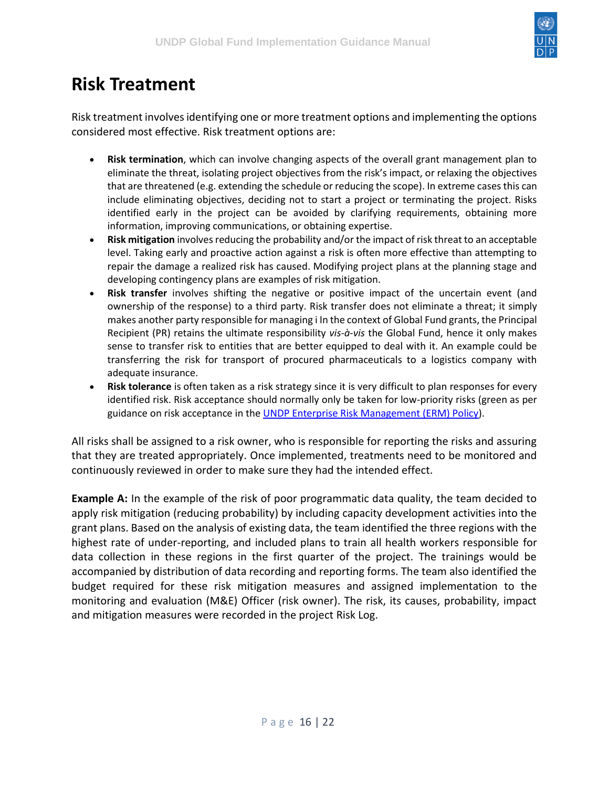

### <span id="page-15-0"></span>**Risk Treatment**

Risk treatment involves identifying one or more treatment options and implementing the options considered most effective. Risk treatment options are:

- **Risk termination**, which can involve changing aspects of the overall grant management plan to eliminate the threat, isolating project objectives from the risk's impact, or relaxing the objectives that are threatened (e.g. extending the schedule or reducing the scope). In extreme cases this can include eliminating objectives, deciding not to start a project or terminating the project. Risks identified early in the project can be avoided by clarifying requirements, obtaining more information, improving communications, or obtaining expertise.
- **Risk mitigation** involves reducing the probability and/or the impact of risk threat to an acceptable level. Taking early and proactive action against a risk is often more effective than attempting to repair the damage a realized risk has caused. Modifying project plans at the planning stage and developing contingency plans are examples of risk mitigation.
- **Risk transfer** involves shifting the negative or positive impact of the uncertain event (and ownership of the response) to a third party. Risk transfer does not eliminate a threat; it simply makes another party responsible for managing i In the context of Global Fund grants, the Principal Recipient (PR) retains the ultimate responsibility *vis-à-vis* the Global Fund, hence it only makes sense to transfer risk to entities that are better equipped to deal with it. An example could be transferring the risk for transport of procured pharmaceuticals to a logistics company with adequate insurance.
- **Risk tolerance** is often taken as a risk strategy since it is very difficult to plan responses for every identified risk. Risk acceptance should normally only be taken for low-priority risks (green as per guidance on risk acceptance in th[e UNDP Enterprise Risk Management \(ERM\) Policy\)](https://popp.undp.org/UNDP_POPP_DOCUMENT_LIBRARY/Public/AC_Accountability_Enterprise%20Risk%20Management%20Policy%20(2016).pdf).

All risks shall be assigned to a risk owner, who is responsible for reporting the risks and assuring that they are treated appropriately. Once implemented, treatments need to be monitored and continuously reviewed in order to make sure they had the intended effect.

**Example A:** In the example of the risk of poor programmatic data quality, the team decided to apply risk mitigation (reducing probability) by including capacity development activities into the grant plans. Based on the analysis of existing data, the team identified the three regions with the highest rate of under-reporting, and included plans to train all health workers responsible for data collection in these regions in the first quarter of the project. The trainings would be accompanied by distribution of data recording and reporting forms. The team also identified the budget required for these risk mitigation measures and assigned implementation to the monitoring and evaluation (M&E) Officer (risk owner). The risk, its causes, probability, impact and mitigation measures were recorded in the project Risk Log.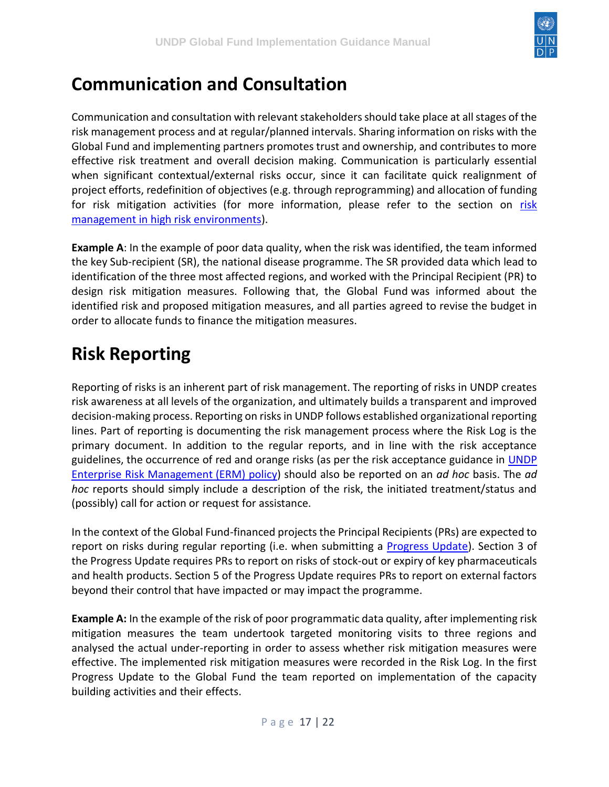

# <span id="page-16-0"></span>**Communication and Consultation**

Communication and consultation with relevant stakeholders should take place at all stages of the risk management process and at regular/planned intervals. Sharing information on risks with the Global Fund and implementing partners promotes trust and ownership, and contributes to more effective risk treatment and overall decision making. Communication is particularly essential when significant contextual/external risks occur, since it can facilitate quick realignment of project efforts, redefinition of objectives (e.g. through reprogramming) and allocation of funding for [risk](https://undphealthimplementation.org/functional-areas/risk-management/risk-management-in-high-risk-environments/undp-corporate-policies/) mitigation activities (for more information, please refer to the section on risk [management in high risk environments\)](https://undphealthimplementation.org/functional-areas/risk-management/risk-management-in-high-risk-environments/undp-corporate-policies/).

**Example A**: In the example of poor data quality, when the risk was identified, the team informed the key Sub-recipient (SR), the national disease programme. The SR provided data which lead to identification of the three most affected regions, and worked with the Principal Recipient (PR) to design risk mitigation measures. Following that, the Global Fund was informed about the identified risk and proposed mitigation measures, and all parties agreed to revise the budget in order to allocate funds to finance the mitigation measures.

# <span id="page-16-1"></span>**Risk Reporting**

Reporting of risks is an inherent part of risk management. The reporting of risks in UNDP creates risk awareness at all levels of the organization, and ultimately builds a transparent and improved decision-making process. Reporting on risks in UNDP follows established organizational reporting lines. Part of reporting is documenting the risk management process where the Risk Log is the primary document. In addition to the regular reports, and in line with the risk acceptance guidelines, the occurrence of red and orange risks (as per the risk acceptance guidance in UNDP [Enterprise Risk Management](https://popp.undp.org/UNDP_POPP_DOCUMENT_LIBRARY/Public/AC_Accountability_Enterprise%20Risk%20Management%20Policy%20(2016).pdf) (ERM) policy) should also be reported on an *ad hoc* basis. The *ad hoc* reports should simply include a description of the risk, the initiated treatment/status and (possibly) call for action or request for assistance.

In the context of the Global Fund-financed projects the Principal Recipients (PRs) are expected to report on risks during regular reporting (i.e. when submitting a [Progress Update\)](https://www.theglobalfund.org/media/6156/core_pudr_guidelines_en.pdf). Section 3 of the Progress Update requires PRs to report on risks of stock-out or expiry of key pharmaceuticals and health products. Section 5 of the Progress Update requires PRs to report on external factors beyond their control that have impacted or may impact the programme.

**Example A:** In the example of the risk of poor programmatic data quality, after implementing risk mitigation measures the team undertook targeted monitoring visits to three regions and analysed the actual under-reporting in order to assess whether risk mitigation measures were effective. The implemented risk mitigation measures were recorded in the Risk Log. In the first Progress Update to the Global Fund the team reported on implementation of the capacity building activities and their effects.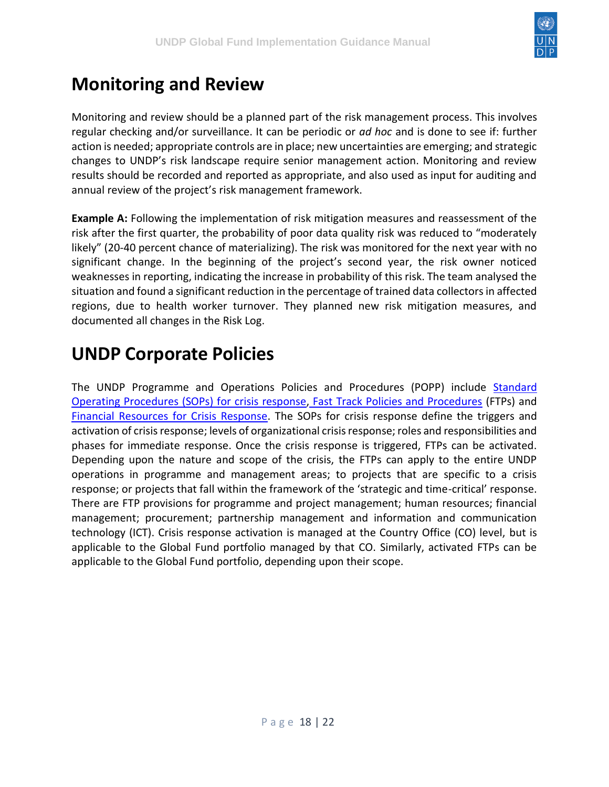

# <span id="page-17-0"></span>**Monitoring and Review**

Monitoring and review should be a planned part of the risk management process. This involves regular checking and/or surveillance. It can be periodic or *ad hoc* and is done to see if: further action is needed; appropriate controls are in place; new uncertainties are emerging; and strategic changes to UNDP's risk landscape require senior management action. Monitoring and review results should be recorded and reported as appropriate, and also used as input for auditing and annual review of the project's risk management framework.

**Example A:** Following the implementation of risk mitigation measures and reassessment of the risk after the first quarter, the probability of poor data quality risk was reduced to "moderately likely" (20-40 percent chance of materializing). The risk was monitored for the next year with no significant change. In the beginning of the project's second year, the risk owner noticed weaknesses in reporting, indicating the increase in probability of this risk. The team analysed the situation and found a significant reduction in the percentage of trained data collectors in affected regions, due to health worker turnover. They planned new risk mitigation measures, and documented all changes in the Risk Log.

### <span id="page-17-1"></span>**UNDP Corporate Policies**

The UNDP Programme and Operations Policies and Procedures (POPP) include [Standard](https://popp.undp.org/SitePages/POPPChapter.aspx?TermID=f5666f66-fc98-4199-bc6a-a90562fe4b61)  [Operating Procedures \(SOPs\) for crisis response,](https://popp.undp.org/SitePages/POPPChapter.aspx?TermID=f5666f66-fc98-4199-bc6a-a90562fe4b61) [Fast Track Policies and Procedures](https://popp.undp.org/UNDP_POPP_DOCUMENT_LIBRARY/Public/Crisis%20Response_FTP_Fast%20Track%20Policies%20and%20Procedures.docx) (FTPs) and [Financial Resources for Crisis Response.](https://popp.undp.org/SitePages/POPPChapter.aspx?CHPID=34) The SOPs for crisis response define the triggers and activation of crisis response; levels of organizational crisis response; roles and responsibilities and phases for immediate response. Once the crisis response is triggered, FTPs can be activated. Depending upon the nature and scope of the crisis, the FTPs can apply to the entire UNDP operations in programme and management areas; to projects that are specific to a crisis response; or projects that fall within the framework of the 'strategic and time-critical' response. There are FTP provisions for programme and project management; human resources; financial management; procurement; partnership management and information and communication technology (ICT). Crisis response activation is managed at the Country Office (CO) level, but is applicable to the Global Fund portfolio managed by that CO. Similarly, activated FTPs can be applicable to the Global Fund portfolio, depending upon their scope.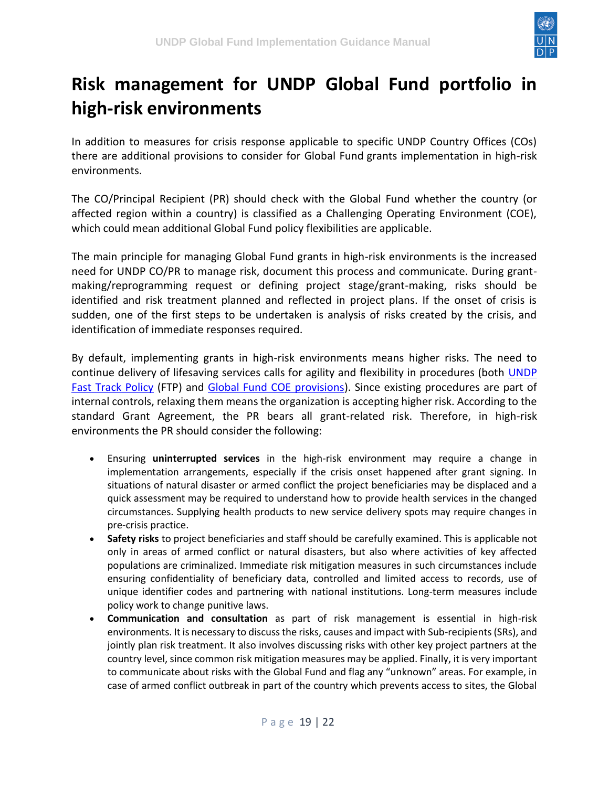

# <span id="page-18-0"></span>**Risk management for UNDP Global Fund portfolio in high-risk environments**

In addition to measures for crisis response applicable to specific UNDP Country Offices (COs) there are additional provisions to consider for Global Fund grants implementation in high-risk environments.

The CO/Principal Recipient (PR) should check with the Global Fund whether the country (or affected region within a country) is classified as a Challenging Operating Environment (COE), which could mean additional Global Fund policy flexibilities are applicable.

The main principle for managing Global Fund grants in high-risk environments is the increased need for UNDP CO/PR to manage risk, document this process and communicate. During grantmaking/reprogramming request or defining project stage/grant-making, risks should be identified and risk treatment planned and reflected in project plans. If the onset of crisis is sudden, one of the first steps to be undertaken is analysis of risks created by the crisis, and identification of immediate responses required.

By default, implementing grants in high-risk environments means higher risks. The need to continue delivery of lifesaving services calls for agility and flexibility in procedures (both UNDP [Fast Track Policy](https://popp.undp.org/SitePages/POPPSubject.aspx?SBJID=199) (FTP) and [Global Fund COE provisions\)](https://www.theglobalfund.org/media/4220/bm35_03-challengingoperatingenvironments_policy_en.pdf). Since existing procedures are part of internal controls, relaxing them means the organization is accepting higher risk. According to the standard Grant Agreement, the PR bears all grant-related risk. Therefore, in high-risk environments the PR should consider the following:

- Ensuring **uninterrupted services** in the high-risk environment may require a change in implementation arrangements, especially if the crisis onset happened after grant signing. In situations of natural disaster or armed conflict the project beneficiaries may be displaced and a quick assessment may be required to understand how to provide health services in the changed circumstances. Supplying health products to new service delivery spots may require changes in pre-crisis practice.
- **Safety risks** to project beneficiaries and staff should be carefully examined. This is applicable not only in areas of armed conflict or natural disasters, but also where activities of key affected populations are criminalized. Immediate risk mitigation measures in such circumstances include ensuring confidentiality of beneficiary data, controlled and limited access to records, use of unique identifier codes and partnering with national institutions. Long-term measures include policy work to change punitive laws.
- **Communication and consultation** as part of risk management is essential in high-risk environments. It is necessary to discuss the risks, causes and impact with Sub-recipients (SRs), and jointly plan risk treatment. It also involves discussing risks with other key project partners at the country level, since common risk mitigation measures may be applied. Finally, it is very important to communicate about risks with the Global Fund and flag any "unknown" areas. For example, in case of armed conflict outbreak in part of the country which prevents access to sites, the Global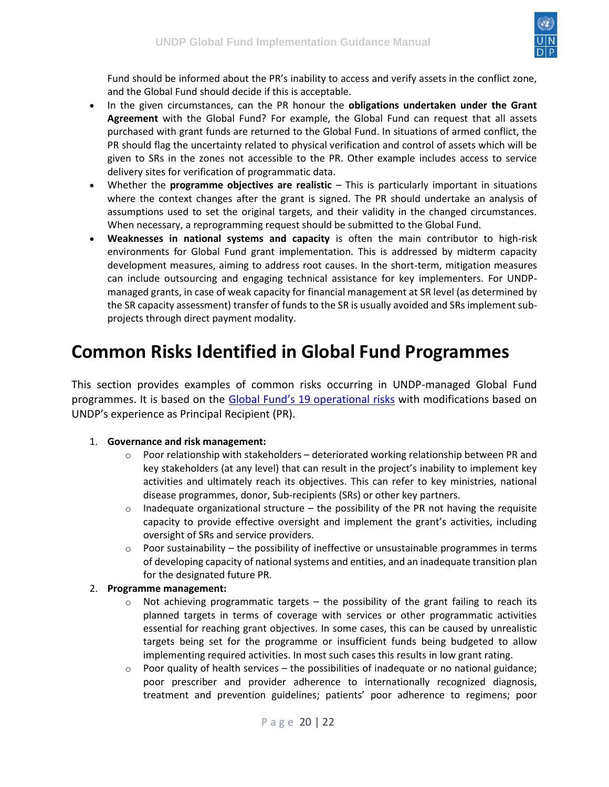

Fund should be informed about the PR's inability to access and verify assets in the conflict zone, and the Global Fund should decide if this is acceptable.

- In the given circumstances, can the PR honour the **obligations undertaken under the Grant Agreement** with the Global Fund? For example, the Global Fund can request that all assets purchased with grant funds are returned to the Global Fund. In situations of armed conflict, the PR should flag the uncertainty related to physical verification and control of assets which will be given to SRs in the zones not accessible to the PR. Other example includes access to service delivery sites for verification of programmatic data.
- Whether the **programme objectives are realistic** This is particularly important in situations where the context changes after the grant is signed. The PR should undertake an analysis of assumptions used to set the original targets, and their validity in the changed circumstances. When necessary, a reprogramming request should be submitted to the Global Fund.
- **Weaknesses in national systems and capacity** is often the main contributor to high-risk environments for Global Fund grant implementation. This is addressed by midterm capacity development measures, aiming to address root causes. In the short-term, mitigation measures can include outsourcing and engaging technical assistance for key implementers. For UNDPmanaged grants, in case of weak capacity for financial management at SR level (as determined by the SR capacity assessment) transfer of funds to the SR is usually avoided and SRs implement subprojects through direct payment modality.

#### <span id="page-19-0"></span>**Common Risks Identified in Global Fund Programmes**

This section provides examples of common risks occurring in UNDP-managed Global Fund programmes. It is based on the [Global Fund's 19 operational risks](https://www.theglobalfund.org/media/6018/core_riskmanagement_policy_en.pdf) with modifications based on UNDP's experience as Principal Recipient (PR).

#### 1. **Governance and risk management:**

- $\circ$  Poor relationship with stakeholders deteriorated working relationship between PR and key stakeholders (at any level) that can result in the project's inability to implement key activities and ultimately reach its objectives. This can refer to key ministries, national disease programmes, donor, Sub-recipients (SRs) or other key partners.
- $\circ$  Inadequate organizational structure the possibility of the PR not having the requisite capacity to provide effective oversight and implement the grant's activities, including oversight of SRs and service providers.
- $\circ$  Poor sustainability the possibility of ineffective or unsustainable programmes in terms of developing capacity of national systems and entities, and an inadequate transition plan for the designated future PR.

#### 2. **Programme management:**

- $\circ$  Not achieving programmatic targets the possibility of the grant failing to reach its planned targets in terms of coverage with services or other programmatic activities essential for reaching grant objectives. In some cases, this can be caused by unrealistic targets being set for the programme or insufficient funds being budgeted to allow implementing required activities. In most such cases this results in low grant rating.
- $\circ$  Poor quality of health services the possibilities of inadequate or no national guidance; poor prescriber and provider adherence to internationally recognized diagnosis, treatment and prevention guidelines; patients' poor adherence to regimens; poor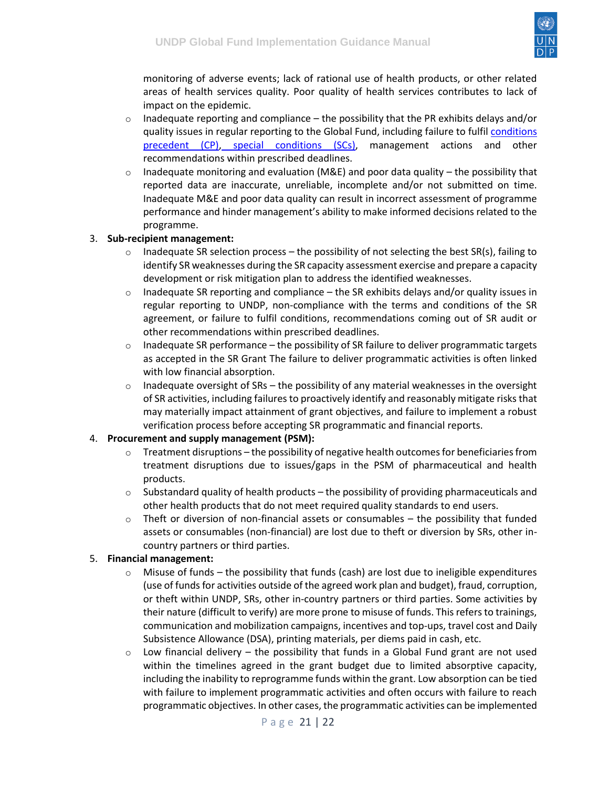

monitoring of adverse events; lack of rational use of health products, or other related areas of health services quality. Poor quality of health services contributes to lack of impact on the epidemic.

- $\circ$  Inadequate reporting and compliance the possibility that the PR exhibits delays and/or quality issues in regular reporting to the Global Fund, including failure to fulfil [conditions](https://undphealthimplementation.org/functional-areas/legal-framework/the-grant-agreement/grant-confirmation-conditions-precedent-cp/)  [precedent \(CP\),](https://undphealthimplementation.org/functional-areas/legal-framework/the-grant-agreement/grant-confirmation-conditions-precedent-cp/) [special conditions \(SCs\),](https://undphealthimplementation.org/functional-areas/legal-framework/the-grant-agreement/grant-confirmation-special-conditions-scs/) management actions and other recommendations within prescribed deadlines.
- $\circ$  Inadequate monitoring and evaluation (M&E) and poor data quality the possibility that reported data are inaccurate, unreliable, incomplete and/or not submitted on time. Inadequate M&E and poor data quality can result in incorrect assessment of programme performance and hinder management's ability to make informed decisions related to the programme.

#### 3. **Sub-recipient management:**

- $\circ$  Inadequate SR selection process the possibility of not selecting the best SR(s), failing to identify SR weaknesses during the SR capacity assessment exercise and prepare a capacity development or risk mitigation plan to address the identified weaknesses.
- $\circ$  Inadequate SR reporting and compliance the SR exhibits delays and/or quality issues in regular reporting to UNDP, non-compliance with the terms and conditions of the SR agreement, or failure to fulfil conditions, recommendations coming out of SR audit or other recommendations within prescribed deadlines.
- $\circ$  Inadequate SR performance the possibility of SR failure to deliver programmatic targets as accepted in the SR Grant The failure to deliver programmatic activities is often linked with low financial absorption.
- $\circ$  Inadequate oversight of SRs the possibility of any material weaknesses in the oversight of SR activities, including failures to proactively identify and reasonably mitigate risks that may materially impact attainment of grant objectives, and failure to implement a robust verification process before accepting SR programmatic and financial reports.

#### 4. **Procurement and supply management (PSM):**

- $\circ$  Treatment disruptions the possibility of negative health outcomes for beneficiaries from treatment disruptions due to issues/gaps in the PSM of pharmaceutical and health products.
- $\circ$  Substandard quality of health products the possibility of providing pharmaceuticals and other health products that do not meet required quality standards to end users.
- $\circ$  Theft or diversion of non-financial assets or consumables the possibility that funded assets or consumables (non-financial) are lost due to theft or diversion by SRs, other incountry partners or third parties.

#### 5. **Financial management:**

- $\circ$  Misuse of funds the possibility that funds (cash) are lost due to ineligible expenditures (use of funds for activities outside of the agreed work plan and budget), fraud, corruption, or theft within UNDP, SRs, other in-country partners or third parties. Some activities by their nature (difficult to verify) are more prone to misuse of funds. This refers to trainings, communication and mobilization campaigns, incentives and top-ups, travel cost and Daily Subsistence Allowance (DSA), printing materials, per diems paid in cash, etc.
- Low financial delivery  $-$  the possibility that funds in a Global Fund grant are not used within the timelines agreed in the grant budget due to limited absorptive capacity, including the inability to reprogramme funds within the grant. Low absorption can be tied with failure to implement programmatic activities and often occurs with failure to reach programmatic objectives. In other cases, the programmatic activities can be implemented